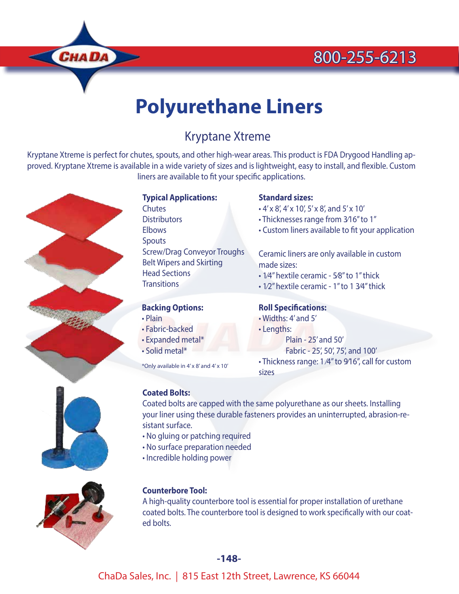### 800-255-6213



# **Polyurethane Liners**

### Kryptane Xtreme

Kryptane Xtreme is perfect for chutes, spouts, and other high-wear areas. This product is FDA Drygood Handling approved. Kryptane Xtreme is available in a wide variety of sizes and is lightweight, easy to install, and flexible. Custom liners are available to fit your specific applications.



### **Typical Applications:**

**Chutes Distributors Elbows** Spouts Screw/Drag Conveyor Troughs Belt Wipers and Skirting Head Sections **Transitions** 

### **Backing Options:**

- Plain
- Fabric-backed
- Expanded metal\*
- Solid metal\*

\*Only available in 4' x 8' and 4' x 10'

### **Coated Bolts:**

Coated bolts are capped with the same polyurethane as our sheets. Installing your liner using these durable fasteners provides an uninterrupted, abrasion-resistant surface.

- No gluing or patching required
- No surface preparation needed
- Incredible holding power



### **Counterbore Tool:**

A high-quality counterbore tool is essential for proper installation of urethane coated bolts. The counterbore tool is designed to work specifically with our coated bolts.

- **Standard sizes:**
- $\cdot$  4' x 8', 4' x 10', 5' x 8', and 5' x 10'
- Thicknesses range from 3∕16" to 1"
- Custom liners available to fit your application

Ceramic liners are only available in custom made sizes:

- 1∕4" hextile ceramic 5∕8" to 1" thick
- 1∕2" hextile ceramic 1" to 1 3∕4" thick

### **Roll Specifications:**

- Widths: 4' and 5'
- Lengths:

Plain - 25' and 50'

Fabric - 25', 50', 75', and 100'

• Thickness range: 1 ∕4" to 9∕16", call for custom sizes